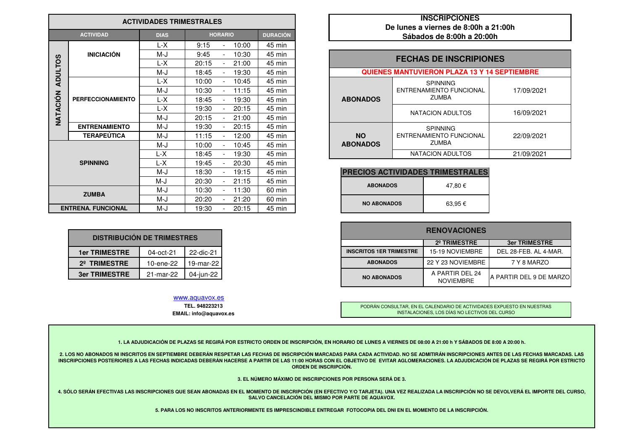|                 |                           | <b>ACTIVIDADES TRIMESTRALES</b> |                                            | <b>INSCRIPCIONES</b><br>De lunes a viernes de 8:00h a 21:00h |                                                     |            |  |  |  |
|-----------------|---------------------------|---------------------------------|--------------------------------------------|--------------------------------------------------------------|-----------------------------------------------------|------------|--|--|--|
|                 | <b>ACTIVIDAD</b>          | <b>DIAS</b>                     | <b>HORARIO</b>                             | <b>DURACIÓN</b>                                              | Sábados de 8:00h a 20:00h                           |            |  |  |  |
|                 |                           | L-X                             | 10:00<br>9:15<br>$\blacksquare$            | 45 min                                                       |                                                     |            |  |  |  |
|                 | <b>INICIACIÓN</b>         | M-J                             | 9:45<br>10:30                              | 45 min                                                       | <b>FECHAS DE INSCRIPIONES</b>                       |            |  |  |  |
|                 |                           | L-X                             | 20:15<br>21:00<br>$\blacksquare$           | 45 min                                                       |                                                     |            |  |  |  |
| <b>ADULTOS</b>  |                           | M-J                             | 18:45<br>19:30                             | 45 min                                                       | <b>QUIENES MANTUVIERON PLAZA 13 Y 14 SEPTIEMBRE</b> |            |  |  |  |
|                 |                           | L-X                             | 10:45<br>10:00                             | 45 min                                                       | <b>SPINNING</b>                                     |            |  |  |  |
|                 | <b>PERFECCIONAMIENTO</b>  | M-J                             | 10:30<br>11:15                             | 45 min                                                       | <b>ENTRENAMIENTO FUNCIONAL</b>                      | 17/09/2021 |  |  |  |
|                 |                           | $L-X$                           | 18:45<br>19:30                             | 45 min                                                       | <b>ZUMBA</b><br><b>ABONADOS</b>                     |            |  |  |  |
| <b>NATACIÓN</b> |                           | L-X                             | 19:30<br>20:15                             | 45 min                                                       | NATACION ADULTOS                                    | 16/09/2021 |  |  |  |
|                 |                           | M-J                             | 20:15<br>21:00                             | 45 min                                                       |                                                     |            |  |  |  |
|                 | <b>ENTRENAMIENTO</b>      | M-J                             | 19:30<br>20:15<br>$\overline{\phantom{a}}$ | 45 min                                                       | <b>SPINNING</b>                                     |            |  |  |  |
|                 | <b>TERAPEÚTICA</b>        | M-J                             | 11:15<br>12:00                             | 45 min                                                       | <b>NO</b><br>ENTRENAMIENTO FUNCIONAL                | 22/09/2021 |  |  |  |
|                 |                           | M-J                             | 10:45<br>10:00                             | 45 min                                                       | <b>ZUMBA</b><br><b>ABONADOS</b>                     |            |  |  |  |
|                 |                           | L-X                             | 18:45<br>19:30                             | 45 min                                                       | NATACION ADULTOS                                    | 21/09/2021 |  |  |  |
|                 | <b>SPINNING</b>           | L-X                             | 20:30<br>19:45                             | 45 min                                                       |                                                     |            |  |  |  |
|                 |                           | M-J                             | 19:15<br>18:30                             | 45 min                                                       | <b>PRECIOS ACTIVIDADES TRIMESTRALES</b>             |            |  |  |  |
|                 |                           | M-J                             | 20:30<br>21:15                             | 45 min                                                       | <b>ABONADOS</b><br>47,80 €                          |            |  |  |  |
|                 | <b>ZUMBA</b>              | M-J                             | 10:30<br>11:30<br>$\blacksquare$           | 60 min                                                       |                                                     |            |  |  |  |
|                 |                           | M-J                             | 20:20<br>21:20                             | 60 min                                                       | <b>NO ABONADOS</b>                                  |            |  |  |  |
|                 | <b>ENTRENA, FUNCIONAL</b> | M-J                             | 20:15<br>19:30                             | 45 min                                                       | 63,95€                                              |            |  |  |  |

| <b>DISTRIBUCIÓN DE TRIMESTRES</b>              |           |           |  |  |  |  |  |
|------------------------------------------------|-----------|-----------|--|--|--|--|--|
| <b>1er TRIMESTRE</b><br>22-dic-21<br>04-oct-21 |           |           |  |  |  |  |  |
| 2 <sup>°</sup> TRIMESTRE                       | 10-ene-22 | 19-mar-22 |  |  |  |  |  |
| <b>3er TRIMESTRE</b><br>04-jun-22<br>21-mar-22 |           |           |  |  |  |  |  |

## www.aquavox.es

**TEL. 948223213 EMAIL: info@aquavox.es**

## **INSCRIPCIONES De lunes a viernes de 8:00h a 21:00hSábados de 8:00h a 20:00h**

| n |                 | <b>FECHAS DE INSCRIPIONES</b>                       |            |  |  |  |  |  |  |  |
|---|-----------------|-----------------------------------------------------|------------|--|--|--|--|--|--|--|
| n |                 |                                                     |            |  |  |  |  |  |  |  |
| n |                 | <b>QUIENES MANTUVIERON PLAZA 13 Y 14 SEPTIEMBRE</b> |            |  |  |  |  |  |  |  |
| n |                 | <b>SPINNING</b>                                     |            |  |  |  |  |  |  |  |
| n |                 | <b>ENTRENAMIENTO FUNCIONAL</b>                      | 17/09/2021 |  |  |  |  |  |  |  |
| n | <b>ABONADOS</b> | <b>ZUMBA</b>                                        |            |  |  |  |  |  |  |  |
| n |                 | <b>NATACION ADULTOS</b>                             | 16/09/2021 |  |  |  |  |  |  |  |
| n |                 |                                                     |            |  |  |  |  |  |  |  |
| n |                 | <b>SPINNING</b>                                     |            |  |  |  |  |  |  |  |
| n | <b>NO</b>       | <b>ENTRENAMIENTO FUNCIONAL</b>                      | 22/09/2021 |  |  |  |  |  |  |  |
| n | <b>ABONADOS</b> | <b>ZUMBA</b>                                        |            |  |  |  |  |  |  |  |
| n |                 | NATACION ADULTOS                                    | 21/09/2021 |  |  |  |  |  |  |  |

| <b>PRECIOS ACTIVIDADES TRIMESTRALES</b> |         |  |  |  |  |
|-----------------------------------------|---------|--|--|--|--|
| <b>ABONADOS</b>                         | 47.80 € |  |  |  |  |
| <b>NO ABONADOS</b>                      | 63.95€  |  |  |  |  |

| <b>RENOVACIONES</b><br>2º TRIMESTRE<br>15-19 NOVIEMBRE<br><b>INSCRITOS 1ER TRIMESTRE</b><br>22-dic-21<br><b>ABONADOS</b><br>22 Y 23 NOVIEMBRE<br>19-mar-22 |                           |              |  |
|------------------------------------------------------------------------------------------------------------------------------------------------------------|---------------------------|--------------|--|
|                                                                                                                                                            | <b>CIÓN DE TRIMESTRES</b> |              |  |
|                                                                                                                                                            |                           | $04$ -oct-21 |  |
|                                                                                                                                                            |                           | 10-ene-22    |  |
| A PARTIR DEL 24<br>04-jun-22<br><b>NO ABONADOS</b>                                                                                                         |                           | 21-mar-22    |  |

PODRÁN CONSULTAR, EN EL CALENDARIO DE ACTIVIDADES EXPUESTO EN NUESTRAS INSTALACIONES, LOS DÍAS NO LECTIVOS DEL CURSO

**1. LA ADJUDICACIÓN DE PLAZAS SE REGIRÁ POR ESTRICTO ORDEN DE INSCRIPCIÓN, EN HORARIO DE LUNES A VIERNES DE 08:00 A 21:00 h Y SÁBADOS DE 8:00 A 20:00 h.**

**2. LOS NO ABONADOS NI INSCRITOS EN SEPTIEMBRE DEBERÁN RESPETAR LAS FECHAS DE INSCRIPCIÓN MARCADAS PARA CADA ACTIVIDAD. NO SE ADMITIRÁN INSCRIPCIONES ANTES DE LAS FECHAS MARCADAS. LAS** INSCRIPCIONES POSTERIORES A LAS FECHAS INDICADAS DEBERÁN HACERSE A PARTIR DE LAS 11:00 HORAS CON EL OBJETIVO DE EVITAR AGLOMERACIONES. LA ADJUDICACIÓN DE PLAZAS SE REGIRÁ POR ESTRICTO **ORDEN DE INSCRIPCIÓN.**

**3. EL NÚMERO MÁXIMO DE INSCRIPCIONES POR PERSONA SERÁ DE 3.**

**4. SÓLO SERÁN EFECTIVAS LAS INSCRIPCIONES QUE SEAN ABONADAS EN EL MOMENTO DE INSCRIPCIÓN (EN EFECTIVO Y/O TARJETA). UNA VEZ REALIZADA LA INSCRIPCIÓN NO SE DEVOLVERÁ EL IMPORTE DEL CURSO, SALVO CANCELACIÓN DEL MISMO POR PARTE DE AQUAVOX.**

**5. PARA LOS NO INSCRITOS ANTERIORMENTE ES IMPRESCINDIBLE ENTREGAR FOTOCOPIA DEL DNI EN EL MOMENTO DE LA INSCRIPCIÓN.**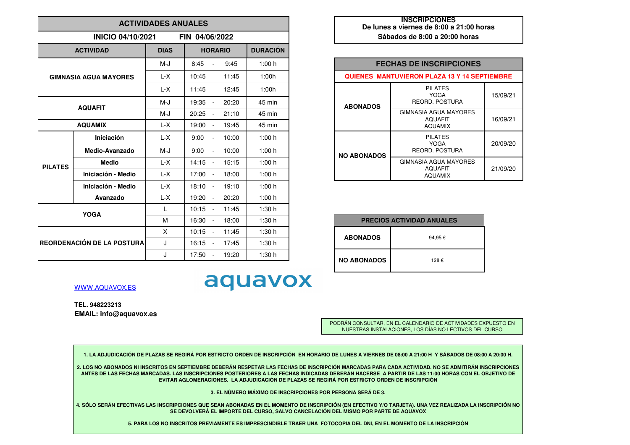| <b>ACTIVIDADES ANUALES</b> |                              |              |                                           |                 |  |  |  |
|----------------------------|------------------------------|--------------|-------------------------------------------|-----------------|--|--|--|
|                            | <b>INICIO 04/10/2021</b>     |              | FIN 04/06/2022                            |                 |  |  |  |
|                            | <b>ACTIVIDAD</b>             | <b>DIAS</b>  | <b>HORARIO</b>                            | <b>DURACIÓN</b> |  |  |  |
|                            |                              | M-J          | 8:45<br>9:45                              | 1:00h           |  |  |  |
|                            | <b>GIMNASIA AGUA MAYORES</b> | L-X          | 10:45<br>11:45                            | 1:00h           |  |  |  |
|                            |                              | $L-X$        | 11:45<br>12:45                            | 1:00h           |  |  |  |
|                            | <b>AQUAFIT</b>               | M-J          | 19:35<br>20:20<br>$\blacksquare$          | 45 min          |  |  |  |
|                            |                              | $M-J$        | 20:25<br>21:10<br>$\blacksquare$          | 45 min          |  |  |  |
|                            | <b>AQUAMIX</b>               | L-X          | 19:00<br>19:45<br>$\blacksquare$          | 45 min          |  |  |  |
|                            | Iniciación                   | L-X          | 9:00<br>10:00<br>÷,                       | 1:00h           |  |  |  |
|                            | Medio-Avanzado               | M-J          | 9:00<br>10:00<br>$\overline{\phantom{a}}$ | 1:00h           |  |  |  |
| <b>PILATES</b>             | <b>Medio</b>                 | L-X          | 14:15<br>15:15<br>$\frac{1}{2}$           | 1:00h           |  |  |  |
|                            | Iniciación - Medio           | L-X          | 17:00<br>18:00<br>$\frac{1}{2}$           | 1:00h           |  |  |  |
|                            | Iniciación - Medio           | L-X          | 18:10<br>19:10<br>$\blacksquare$          | 1:00h           |  |  |  |
| Avanzado                   |                              | L-X          | 19:20<br>20:20<br>÷,                      | 1:00 h          |  |  |  |
|                            | <b>YOGA</b>                  | $\mathbf{L}$ | 10:15<br>11:45<br>$\blacksquare$          | 1:30h           |  |  |  |
|                            |                              | М            | 16:30<br>18:00<br>$\frac{1}{2}$           | 1:30h           |  |  |  |
|                            |                              | X            | 10:15<br>11:45<br>$\blacksquare$          | 1:30h           |  |  |  |
|                            | REORDENACIÓN DE LA POSTURA   | J            | 16:15<br>17:45<br>÷,                      | 1:30h           |  |  |  |
|                            |                              | J            | 17:50<br>19:20<br>$\blacksquare$          | 1:30h           |  |  |  |

| <b>INSCRIPCIONES</b>                     |  |  |  |  |  |  |
|------------------------------------------|--|--|--|--|--|--|
| De lunes a viernes de 8:00 a 21:00 horas |  |  |  |  |  |  |
| Sábados de 8:00 a 20:00 horas            |  |  |  |  |  |  |

| <b>FECHAS DE INSCRIPCIONES</b>                      |                                                           |          |  |  |  |  |  |
|-----------------------------------------------------|-----------------------------------------------------------|----------|--|--|--|--|--|
| <b>QUIENES MANTUVIERON PLAZA 13 Y 14 SEPTIEMBRE</b> |                                                           |          |  |  |  |  |  |
| <b>ABONADOS</b>                                     | <b>PILATES</b><br>YOGA<br>REORD, POSTURA                  | 15/09/21 |  |  |  |  |  |
|                                                     | GIMNASIA AGUA MAYORES<br><b>AQUAFIT</b><br><b>AQUAMIX</b> | 16/09/21 |  |  |  |  |  |
| <b>NO ABONADOS</b>                                  | <b>PILATES</b><br>YOGA<br>REORD, POSTURA                  | 20/09/20 |  |  |  |  |  |
|                                                     | GIMNASIA AGUA MAYORES<br><b>AQUAFIT</b><br><b>AQUAMIX</b> | 21/09/20 |  |  |  |  |  |

|                    | <b>PRECIOS ACTIVIDAD ANUALES</b> |
|--------------------|----------------------------------|
| <b>ABONADOS</b>    | 94,95€                           |
| <b>NO ABONADOS</b> | 128€                             |

WWW.AQUAVOX.ES

**TEL. 948223213EMAIL: info@aquavox.es**

> PODRÁN CONSULTAR, EN EL CALENDARIO DE ACTIVIDADES EXPUESTO EN NUESTRAS INSTALACIONES, LOS DÍAS NO LECTIVOS DEL CURSO

**1. LA ADJUDICACIÓN DE PLAZAS SE REGIRÁ POR ESTRICTO ORDEN DE INSCRIPCIÓN EN HORARIO DE LUNES A VIERNES DE 08:00 A 21:00 H Y SÁBADOS DE 08:00 A 20:00 H.**

aquavox

**2. LOS NO ABONADOS NI INSCRITOS EN SEPTIEMBRE DEBERÁN RESPETAR LAS FECHAS DE INSCRIPCIÓN MARCADAS PARA CADA ACTIVIDAD. NO SE ADMITIRÁN INSCRIPCIONES ANTES DE LAS FECHAS MARCADAS. LAS INSCRIPCIONES POSTERIORES A LAS FECHAS INDICADAS DEBERÁN HACERSE A PARTIR DE LAS 11:00 HORAS CON EL OBJETIVO DE EVITAR AGLOMERACIONES. LA ADJUDICACIÓN DE PLAZAS SE REGIRÁ POR ESTRICTO ORDEN DE INSCRIPCIÓN**

**3. EL NÚMERO MÁXIMO DE INSCRIPCIONES POR PERSONA SERÁ DE 3.**

**4. SÓLO SERÁN EFECTIVAS LAS INSCRIPCIONES QUE SEAN ABONADAS EN EL MOMENTO DE INSCRIPCIÓN (EN EFECTIVO Y/O TARJETA). UNA VEZ REALIZADA LA INSCRIPCIÓN NO SE DEVOLVERÁ EL IMPORTE DEL CURSO, SALVO CANCELACIÓN DEL MISMO POR PARTE DE AQUAVOX**

**5. PARA LOS NO INSCRITOS PREVIAMENTE ES IMPRESCINDIBLE TRAER UNA FOTOCOPIA DEL DNI, EN EL MOMENTO DE LA INSCRIPCIÓN**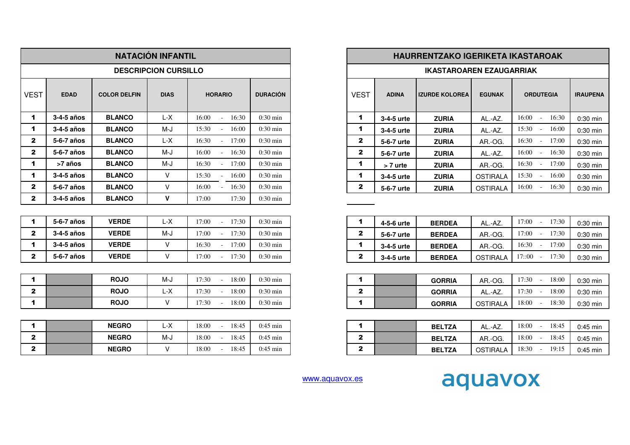|                      |             |                     | <b>NATACIÓN INFANTIL</b>    |                          |                    |                      |              | <b>HAURRENTZAKO IGERIKETA IKASTAROAK</b> |                 |                              |                 |
|----------------------|-------------|---------------------|-----------------------------|--------------------------|--------------------|----------------------|--------------|------------------------------------------|-----------------|------------------------------|-----------------|
|                      |             |                     | <b>DESCRIPCION CURSILLO</b> |                          |                    |                      |              | <b>IKASTAROAREN EZAUGARRIAK</b>          |                 |                              |                 |
| <b>VEST</b>          | <b>EDAD</b> | <b>COLOR DELFIN</b> | <b>DIAS</b>                 | <b>HORARIO</b>           | <b>DURACIÓN</b>    | <b>VEST</b>          | <b>ADINA</b> | <b>IZURDE KOLOREA</b>                    | <b>EGUNAK</b>   | <b>ORDUTEGIA</b>             | <b>IRAUPENA</b> |
| $\mathbf 1$          | 3-4-5 años  | <b>BLANCO</b>       | L-X                         | 16:00<br>$-16:30$        | $0:30 \text{ min}$ | $\blacktriangleleft$ | 3-4-5 urte   | <b>ZURIA</b>                             | AL.-AZ.         | $16:00 -$<br>16:30           | 0:30 min        |
| $\blacktriangleleft$ | 3-4-5 años  | <b>BLANCO</b>       | M-J                         | 15:30<br>16:00<br>$\sim$ | $0:30$ min         | $\blacktriangleleft$ | 3-4-5 urte   | <b>ZURIA</b>                             | AL.-AZ.         | 15:30<br>16:00<br>$\sim$     | $0:30$ min      |
| $\mathbf{2}$         | 5-6-7 años  | <b>BLANCO</b>       | L-X                         | 16:30<br>17:00           | $0:30$ min         | $\mathbf{2}$         | 5-6-7 urte   | <b>ZURIA</b>                             | AR.-OG.         | 16:30<br>17:00<br>$\sim$     | $0:30$ min      |
| $\mathbf{2}$         | 5-6-7 años  | <b>BLANCO</b>       | M-J                         | 16:00<br>16:30<br>$\sim$ | $0:30$ min         | $\mathbf{2}$         | 5-6-7 urte   | <b>ZURIA</b>                             | AL.-AZ.         | 16:00<br>16:30<br>$\sim$     | $0:30$ min      |
| 1                    | >7 años     | <b>BLANCO</b>       | M-J                         | 16:30<br>17:00<br>$\sim$ | $0:30$ min         | $\blacktriangleleft$ | > 7 urte     | <b>ZURIA</b>                             | AR.-OG.         | $16:30 -$<br>17:00           | $0:30$ min      |
| 1                    | 3-4-5 años  | <b>BLANCO</b>       | V                           | 15:30<br>16:00           | $0:30$ min         | $\blacktriangleleft$ | 3-4-5 urte   | <b>ZURIA</b>                             | <b>OSTIRALA</b> | 15:30<br>16:00<br>$\sim$     | $0:30$ min      |
| $\mathbf{2}$         | 5-6-7 años  | <b>BLANCO</b>       | $\vee$                      | 16:00<br>16:30           | $0:30$ min         | $\mathbf{2}$         | 5-6-7 urte   | <b>ZURIA</b>                             | <b>OSTIRALA</b> | 16:00<br>16:30               | $0:30$ min      |
| $\mathbf{2}$         | 3-4-5 años  | <b>BLANCO</b>       | $\mathbf{V}$                | 17:30<br>17:00           | $0:30 \text{ min}$ |                      |              |                                          |                 |                              |                 |
|                      |             |                     |                             |                          |                    |                      |              |                                          |                 |                              |                 |
| 1                    | 5-6-7 años  | <b>VERDE</b>        | L-X                         | 17:00<br>$-17:30$        | $0:30 \text{ min}$ | 1                    | 4-5-6 urte   | <b>BERDEA</b>                            | AL.-AZ.         | 17:00<br>17:30<br>$\sim 100$ | 0:30 min        |
| $\mathbf{2}$         | 3-4-5 años  | <b>VERDE</b>        | M-J                         | 17:00<br>17:30           | $0:30 \text{ min}$ | $\mathbf{2}$         | 5-6-7 urte   | <b>BERDEA</b>                            | AR.-OG.         | 17:00<br>17:30<br>$\sim$     | $0:30$ min      |
| 1                    | 3-4-5 años  | <b>VERDE</b>        | V                           | 16:30<br>17:00           | $0:30 \text{ min}$ | 1                    | 3-4-5 urte   | <b>BERDEA</b>                            | AR.-OG.         | 16:30<br>17:00<br>$\sim$     | $0:30$ min      |
| $\mathbf{2}$         | 5-6-7 años  | <b>VERDE</b>        | V                           | 17:30<br>17:00<br>$\sim$ | $0:30 \text{ min}$ | $\mathbf{2}$         | 3-4-5 urte   | <b>BERDEA</b>                            | <b>OSTIRALA</b> | $17::00 -$<br>17:30          | $0:30$ min      |
|                      |             |                     |                             |                          |                    |                      |              |                                          |                 |                              |                 |
| 1                    |             | <b>ROJO</b>         | $M-J$                       | 17:30<br>18:00<br>$\sim$ | $0:30 \text{ min}$ | $\blacktriangleleft$ |              | <b>GORRIA</b>                            | AR.-OG.         | 17:30<br>18:00<br>$\sim$ $-$ | $0:30$ min      |
| $\mathbf{2}$         |             | <b>ROJO</b>         | L-X                         | 18:00<br>17:30           | $0:30$ min         | $\mathbf{2}$         |              | <b>GORRIA</b>                            | AL.-AZ.         | 17:30<br>18:00               | $0:30$ min      |
| $\blacktriangleleft$ |             | <b>ROJO</b>         | V                           | 17:30<br>18:00<br>$\sim$ | $0:30$ min         | $\blacktriangleleft$ |              | <b>GORRIA</b>                            | <b>OSTIRALA</b> | 18:00<br>18:30<br>$\sim$     | $0:30$ min      |
|                      |             |                     |                             |                          |                    |                      |              |                                          |                 |                              |                 |
| 1                    |             | <b>NEGRO</b>        | $L-X$                       | 18:45<br>18:00<br>$\sim$ | $0:45$ min         | $\blacktriangleleft$ |              | <b>BELTZA</b>                            | AL.-AZ.         | 18:00<br>18:45<br>$\sim$     | $0:45$ min      |
| $\mathbf{2}$         |             | <b>NEGRO</b>        | M-J                         | 18:45<br>18:00           | $0:45$ min         | $\mathbf{2}$         |              | <b>BELTZA</b>                            | AR.-OG.         | 18:00<br>18:45<br>$\sim$     | $0:45$ min      |
| $\mathbf{2}$         |             | <b>NEGRO</b>        | V                           | 18:45<br>18:00           | $0:45$ min         | $\mathbf{2}$         |              | <b>BELTZA</b>                            | <b>OSTIRALA</b> | 18:30<br>19:15<br>$\sim$     | $0:45$ min      |

| LO.                                        |                    |
|--------------------------------------------|--------------------|
| <b>HORARIO</b><br><b>DURACIÓN</b>          |                    |
| 16:00<br>16:30<br>÷.                       | $0:30$ min         |
| 15:30<br>16:00<br>$\sim$                   | $0:30$ min         |
| 16:30<br>17:00<br>÷.                       | $0:30$ min         |
| 16:00<br>16:30<br>$\sim$                   | $0:30$ min         |
| 16:30<br>17:00<br>$\sim$                   | $0:30$ min         |
| 15:30<br>16:00                             | $0:30$ min         |
| 16:00<br>16:30                             | $0:30$ min         |
| 17:00<br>17:30                             | $0:30 \text{ min}$ |
| 17:00<br>17:30<br>$\overline{\phantom{a}}$ | $0:30$ min         |
| 17:00<br>17:30<br>÷.                       | $0:30$ min         |
| 16:30<br>17:00<br>$\blacksquare$           | $0:30$ min         |
| 17:00<br>17:30                             | $0:30$ min         |

|   | <b>GORRIA</b> | AR.-OG.  | 18:00<br>17:30 | $0:30$ min |
|---|---------------|----------|----------------|------------|
| 2 | <b>GORRIA</b> | AL.-AZ.  | 17:30<br>18:00 | $0:30$ min |
|   | <b>GORRIA</b> | OSTIRALA | 18:00<br>18:30 | $0:30$ min |

|   | <b>BELTZA</b> | AL.-AZ.         | 18:00<br>18:45 | $0:45$ min |
|---|---------------|-----------------|----------------|------------|
| 7 | <b>BELTZA</b> | AR.-OG.         | 18:00<br>18:45 | $0:45$ min |
| 7 | <b>BELTZA</b> | <b>OSTIRALA</b> | 18:30<br>19:15 | $0:45$ min |

www.aquavox.es

## aquavox